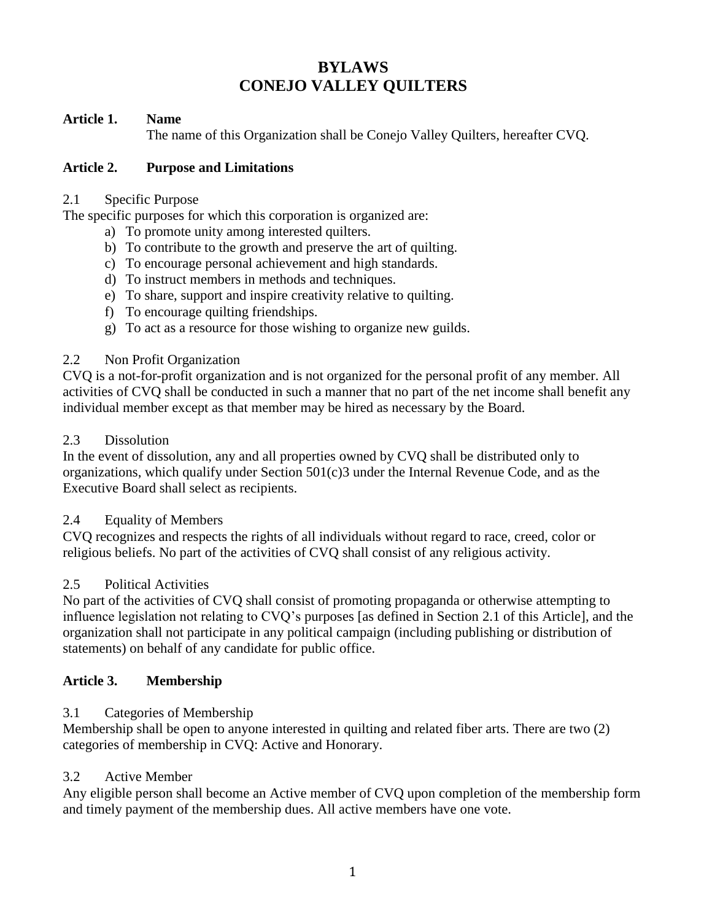# **BYLAWS CONEJO VALLEY QUILTERS**

#### **Article 1. Name**

The name of this Organization shall be Conejo Valley Quilters, hereafter CVQ.

#### **Article 2. Purpose and Limitations**

#### 2.1 Specific Purpose

The specific purposes for which this corporation is organized are:

- a) To promote unity among interested quilters.
- b) To contribute to the growth and preserve the art of quilting.
- c) To encourage personal achievement and high standards.
- d) To instruct members in methods and techniques.
- e) To share, support and inspire creativity relative to quilting.
- f) To encourage quilting friendships.
- g) To act as a resource for those wishing to organize new guilds.

#### 2.2 Non Profit Organization

CVQ is a not-for-profit organization and is not organized for the personal profit of any member. All activities of CVQ shall be conducted in such a manner that no part of the net income shall benefit any individual member except as that member may be hired as necessary by the Board.

#### 2.3 Dissolution

In the event of dissolution, any and all properties owned by CVQ shall be distributed only to organizations, which qualify under Section 501(c)3 under the Internal Revenue Code, and as the Executive Board shall select as recipients.

## 2.4 Equality of Members

CVQ recognizes and respects the rights of all individuals without regard to race, creed, color or religious beliefs. No part of the activities of CVQ shall consist of any religious activity.

#### 2.5 Political Activities

No part of the activities of CVQ shall consist of promoting propaganda or otherwise attempting to influence legislation not relating to CVQ's purposes [as defined in Section 2.1 of this Article], and the organization shall not participate in any political campaign (including publishing or distribution of statements) on behalf of any candidate for public office.

## **Article 3. Membership**

## 3.1 Categories of Membership

Membership shall be open to anyone interested in quilting and related fiber arts. There are two (2) categories of membership in CVQ: Active and Honorary.

## 3.2 Active Member

Any eligible person shall become an Active member of CVQ upon completion of the membership form and timely payment of the membership dues. All active members have one vote.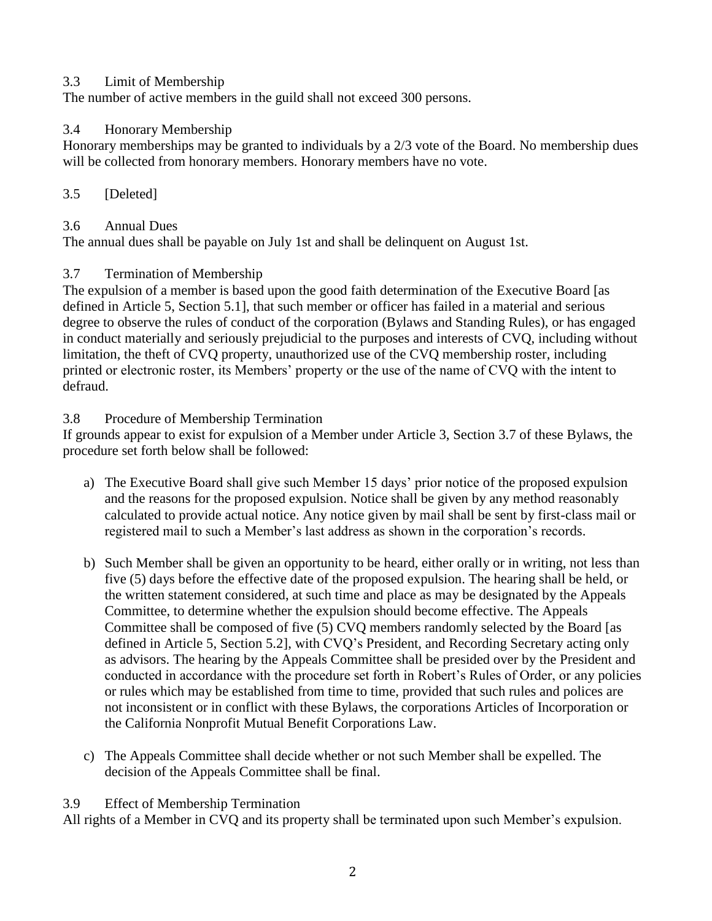#### 3.3 Limit of Membership

The number of active members in the guild shall not exceed 300 persons.

#### 3.4 Honorary Membership

Honorary memberships may be granted to individuals by a 2/3 vote of the Board. No membership dues will be collected from honorary members. Honorary members have no vote.

#### 3.5 [Deleted]

#### 3.6 Annual Dues

The annual dues shall be payable on July 1st and shall be delinquent on August 1st.

## 3.7 Termination of Membership

The expulsion of a member is based upon the good faith determination of the Executive Board [as defined in Article 5, Section 5.1], that such member or officer has failed in a material and serious degree to observe the rules of conduct of the corporation (Bylaws and Standing Rules), or has engaged in conduct materially and seriously prejudicial to the purposes and interests of CVQ, including without limitation, the theft of CVQ property, unauthorized use of the CVQ membership roster, including printed or electronic roster, its Members' property or the use of the name of CVQ with the intent to defraud.

#### 3.8 Procedure of Membership Termination

If grounds appear to exist for expulsion of a Member under Article 3, Section 3.7 of these Bylaws, the procedure set forth below shall be followed:

- a) The Executive Board shall give such Member 15 days' prior notice of the proposed expulsion and the reasons for the proposed expulsion. Notice shall be given by any method reasonably calculated to provide actual notice. Any notice given by mail shall be sent by first-class mail or registered mail to such a Member's last address as shown in the corporation's records.
- b) Such Member shall be given an opportunity to be heard, either orally or in writing, not less than five (5) days before the effective date of the proposed expulsion. The hearing shall be held, or the written statement considered, at such time and place as may be designated by the Appeals Committee, to determine whether the expulsion should become effective. The Appeals Committee shall be composed of five (5) CVQ members randomly selected by the Board [as defined in Article 5, Section 5.2], with CVQ's President, and Recording Secretary acting only as advisors. The hearing by the Appeals Committee shall be presided over by the President and conducted in accordance with the procedure set forth in Robert's Rules of Order, or any policies or rules which may be established from time to time, provided that such rules and polices are not inconsistent or in conflict with these Bylaws, the corporations Articles of Incorporation or the California Nonprofit Mutual Benefit Corporations Law.
- c) The Appeals Committee shall decide whether or not such Member shall be expelled. The decision of the Appeals Committee shall be final.

#### 3.9 Effect of Membership Termination

All rights of a Member in CVQ and its property shall be terminated upon such Member's expulsion.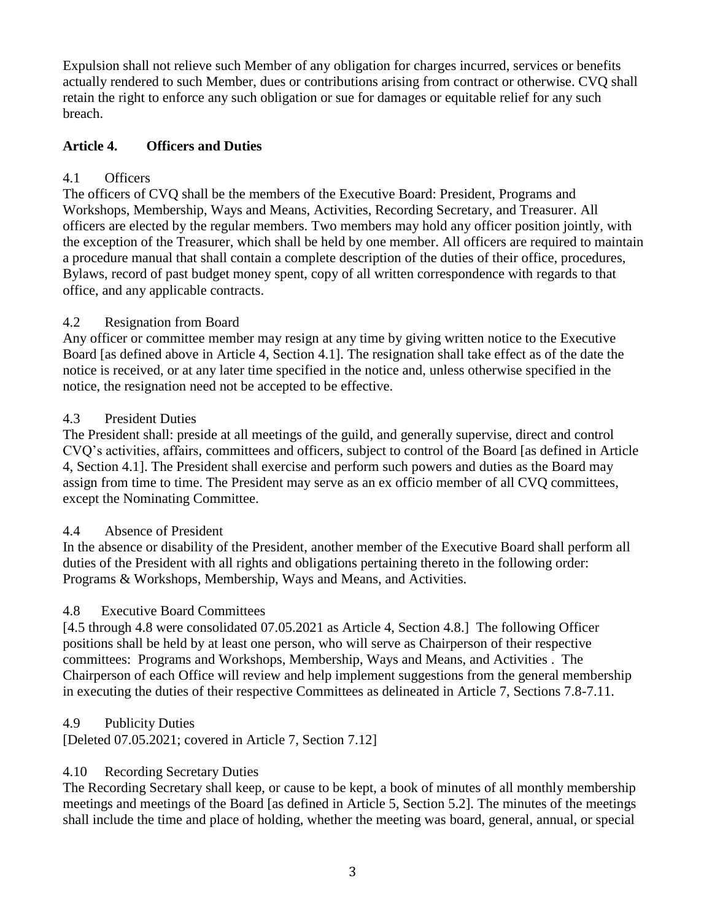Expulsion shall not relieve such Member of any obligation for charges incurred, services or benefits actually rendered to such Member, dues or contributions arising from contract or otherwise. CVQ shall retain the right to enforce any such obligation or sue for damages or equitable relief for any such breach.

## **Article 4. Officers and Duties**

## 4.1 Officers

The officers of CVQ shall be the members of the Executive Board: President, Programs and Workshops, Membership, Ways and Means, Activities, Recording Secretary, and Treasurer. All officers are elected by the regular members. Two members may hold any officer position jointly, with the exception of the Treasurer, which shall be held by one member. All officers are required to maintain a procedure manual that shall contain a complete description of the duties of their office, procedures, Bylaws, record of past budget money spent, copy of all written correspondence with regards to that office, and any applicable contracts.

## 4.2 Resignation from Board

Any officer or committee member may resign at any time by giving written notice to the Executive Board [as defined above in Article 4, Section 4.1]. The resignation shall take effect as of the date the notice is received, or at any later time specified in the notice and, unless otherwise specified in the notice, the resignation need not be accepted to be effective.

## 4.3 President Duties

The President shall: preside at all meetings of the guild, and generally supervise, direct and control CVQ's activities, affairs, committees and officers, subject to control of the Board [as defined in Article 4, Section 4.1]. The President shall exercise and perform such powers and duties as the Board may assign from time to time. The President may serve as an ex officio member of all CVQ committees, except the Nominating Committee.

## 4.4 Absence of President

In the absence or disability of the President, another member of the Executive Board shall perform all duties of the President with all rights and obligations pertaining thereto in the following order: Programs & Workshops, Membership, Ways and Means, and Activities.

## 4.8 Executive Board Committees

[4.5 through 4.8 were consolidated 07.05.2021 as Article 4, Section 4.8.] The following Officer positions shall be held by at least one person, who will serve as Chairperson of their respective committees: Programs and Workshops, Membership, Ways and Means, and Activities . The Chairperson of each Office will review and help implement suggestions from the general membership in executing the duties of their respective Committees as delineated in Article 7, Sections 7.8-7.11.

## 4.9 Publicity Duties

[Deleted 07.05.2021; covered in Article 7, Section 7.12]

## 4.10 Recording Secretary Duties

The Recording Secretary shall keep, or cause to be kept, a book of minutes of all monthly membership meetings and meetings of the Board [as defined in Article 5, Section 5.2]. The minutes of the meetings shall include the time and place of holding, whether the meeting was board, general, annual, or special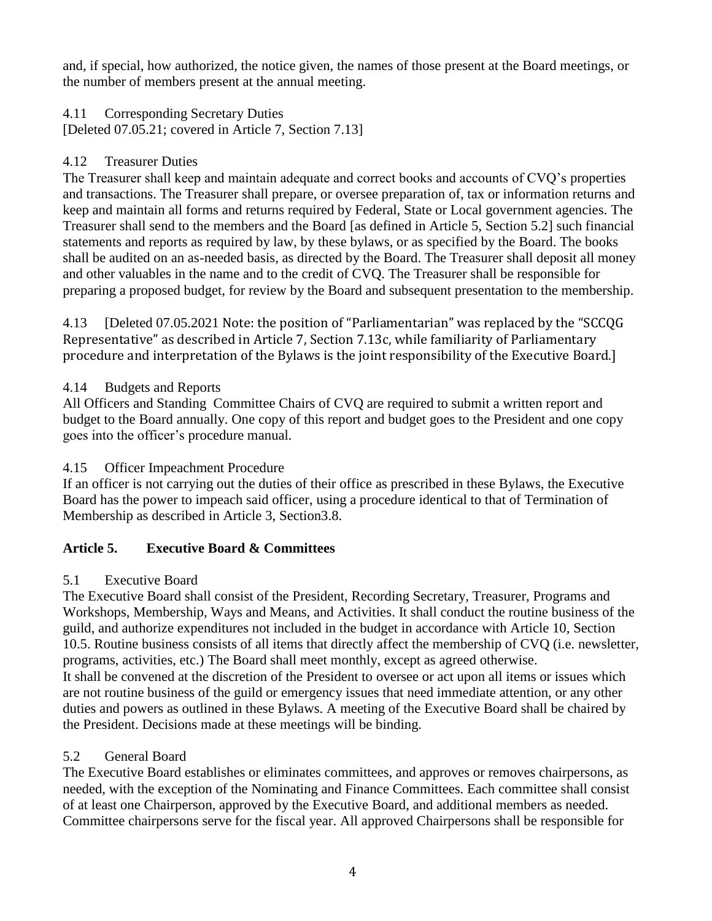and, if special, how authorized, the notice given, the names of those present at the Board meetings, or the number of members present at the annual meeting.

4.11 Corresponding Secretary Duties [Deleted 07.05.21; covered in Article 7, Section 7.13]

## 4.12 Treasurer Duties

The Treasurer shall keep and maintain adequate and correct books and accounts of CVQ's properties and transactions. The Treasurer shall prepare, or oversee preparation of, tax or information returns and keep and maintain all forms and returns required by Federal, State or Local government agencies. The Treasurer shall send to the members and the Board [as defined in Article 5, Section 5.2] such financial statements and reports as required by law, by these bylaws, or as specified by the Board. The books shall be audited on an as-needed basis, as directed by the Board. The Treasurer shall deposit all money and other valuables in the name and to the credit of CVQ. The Treasurer shall be responsible for preparing a proposed budget, for review by the Board and subsequent presentation to the membership.

4.13 [Deleted 07.05.2021 Note: the position of "Parliamentarian" was replaced by the "SCCQG Representative" as described in Article 7, Section 7.13c, while familiarity of Parliamentary procedure and interpretation of the Bylaws is the joint responsibility of the Executive Board.]

## 4.14 Budgets and Reports

All Officers and Standing Committee Chairs of CVQ are required to submit a written report and budget to the Board annually. One copy of this report and budget goes to the President and one copy goes into the officer's procedure manual.

## 4.15 Officer Impeachment Procedure

If an officer is not carrying out the duties of their office as prescribed in these Bylaws, the Executive Board has the power to impeach said officer, using a procedure identical to that of Termination of Membership as described in Article 3, Section3.8.

## **Article 5. Executive Board & Committees**

## 5.1 Executive Board

The Executive Board shall consist of the President, Recording Secretary, Treasurer, Programs and Workshops, Membership, Ways and Means, and Activities. It shall conduct the routine business of the guild, and authorize expenditures not included in the budget in accordance with Article 10, Section 10.5. Routine business consists of all items that directly affect the membership of CVQ (i.e. newsletter, programs, activities, etc.) The Board shall meet monthly, except as agreed otherwise. It shall be convened at the discretion of the President to oversee or act upon all items or issues which are not routine business of the guild or emergency issues that need immediate attention, or any other duties and powers as outlined in these Bylaws. A meeting of the Executive Board shall be chaired by the President. Decisions made at these meetings will be binding.

## 5.2 General Board

The Executive Board establishes or eliminates committees, and approves or removes chairpersons, as needed, with the exception of the Nominating and Finance Committees. Each committee shall consist of at least one Chairperson, approved by the Executive Board, and additional members as needed. Committee chairpersons serve for the fiscal year. All approved Chairpersons shall be responsible for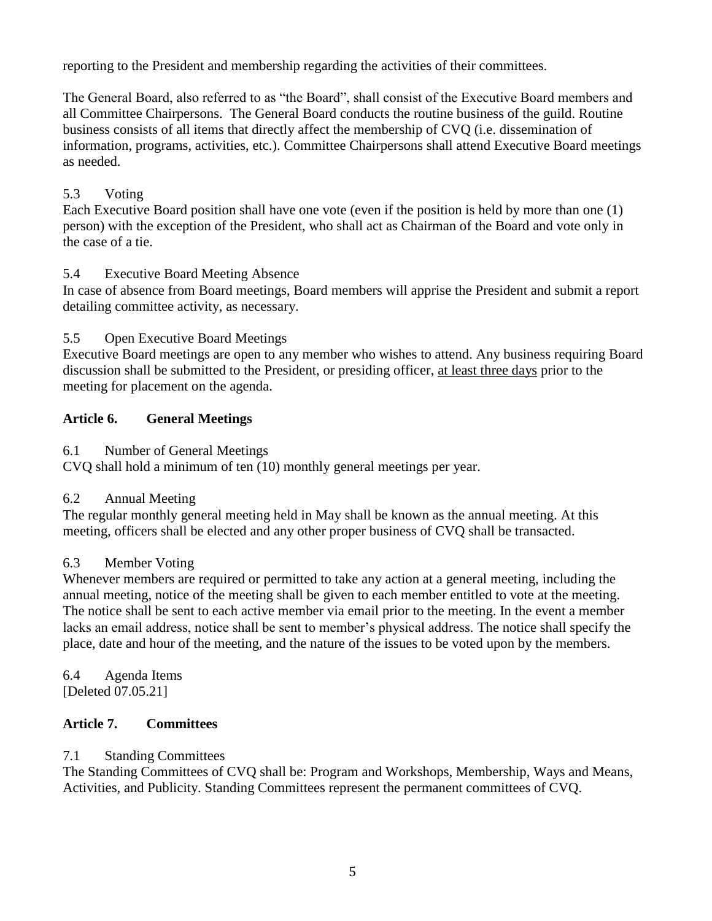reporting to the President and membership regarding the activities of their committees.

The General Board, also referred to as "the Board", shall consist of the Executive Board members and all Committee Chairpersons. The General Board conducts the routine business of the guild. Routine business consists of all items that directly affect the membership of CVQ (i.e. dissemination of information, programs, activities, etc.). Committee Chairpersons shall attend Executive Board meetings as needed.

## 5.3 Voting

Each Executive Board position shall have one vote (even if the position is held by more than one (1) person) with the exception of the President, who shall act as Chairman of the Board and vote only in the case of a tie.

## 5.4 Executive Board Meeting Absence

In case of absence from Board meetings, Board members will apprise the President and submit a report detailing committee activity, as necessary.

## 5.5 Open Executive Board Meetings

Executive Board meetings are open to any member who wishes to attend. Any business requiring Board discussion shall be submitted to the President, or presiding officer, at least three days prior to the meeting for placement on the agenda.

## **Article 6. General Meetings**

## 6.1 Number of General Meetings

CVQ shall hold a minimum of ten (10) monthly general meetings per year.

## 6.2 Annual Meeting

The regular monthly general meeting held in May shall be known as the annual meeting. At this meeting, officers shall be elected and any other proper business of CVQ shall be transacted.

## 6.3 Member Voting

Whenever members are required or permitted to take any action at a general meeting, including the annual meeting, notice of the meeting shall be given to each member entitled to vote at the meeting. The notice shall be sent to each active member via email prior to the meeting. In the event a member lacks an email address, notice shall be sent to member's physical address. The notice shall specify the place, date and hour of the meeting, and the nature of the issues to be voted upon by the members.

6.4 Agenda Items [Deleted 07.05.21]

## **Article 7. Committees**

## 7.1 Standing Committees

The Standing Committees of CVQ shall be: Program and Workshops, Membership, Ways and Means, Activities, and Publicity. Standing Committees represent the permanent committees of CVQ.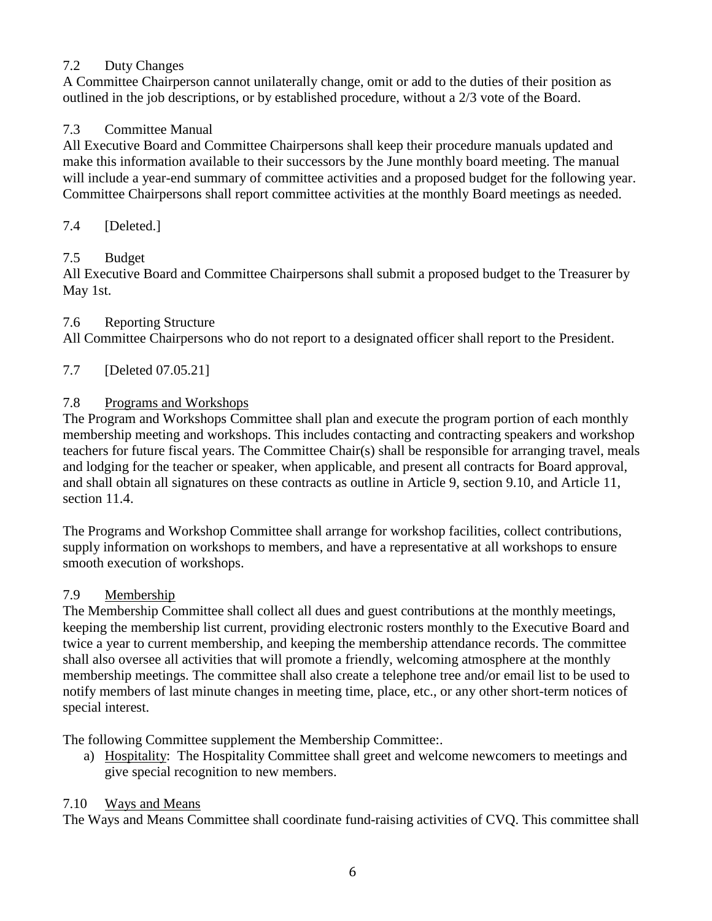## 7.2 Duty Changes

A Committee Chairperson cannot unilaterally change, omit or add to the duties of their position as outlined in the job descriptions, or by established procedure, without a 2/3 vote of the Board.

## 7.3 Committee Manual

All Executive Board and Committee Chairpersons shall keep their procedure manuals updated and make this information available to their successors by the June monthly board meeting. The manual will include a year-end summary of committee activities and a proposed budget for the following year. Committee Chairpersons shall report committee activities at the monthly Board meetings as needed.

## 7.4 [Deleted.]

## 7.5 Budget

All Executive Board and Committee Chairpersons shall submit a proposed budget to the Treasurer by May 1st.

## 7.6 Reporting Structure

All Committee Chairpersons who do not report to a designated officer shall report to the President.

## 7.7 [Deleted 07.05.21]

## 7.8 Programs and Workshops

The Program and Workshops Committee shall plan and execute the program portion of each monthly membership meeting and workshops. This includes contacting and contracting speakers and workshop teachers for future fiscal years. The Committee Chair(s) shall be responsible for arranging travel, meals and lodging for the teacher or speaker, when applicable, and present all contracts for Board approval, and shall obtain all signatures on these contracts as outline in Article 9, section 9.10, and Article 11, section 11.4.

The Programs and Workshop Committee shall arrange for workshop facilities, collect contributions, supply information on workshops to members, and have a representative at all workshops to ensure smooth execution of workshops.

## 7.9 Membership

The Membership Committee shall collect all dues and guest contributions at the monthly meetings, keeping the membership list current, providing electronic rosters monthly to the Executive Board and twice a year to current membership, and keeping the membership attendance records. The committee shall also oversee all activities that will promote a friendly, welcoming atmosphere at the monthly membership meetings. The committee shall also create a telephone tree and/or email list to be used to notify members of last minute changes in meeting time, place, etc., or any other short-term notices of special interest.

The following Committee supplement the Membership Committee:.

a) Hospitality: The Hospitality Committee shall greet and welcome newcomers to meetings and give special recognition to new members.

## 7.10 Ways and Means

The Ways and Means Committee shall coordinate fund-raising activities of CVQ. This committee shall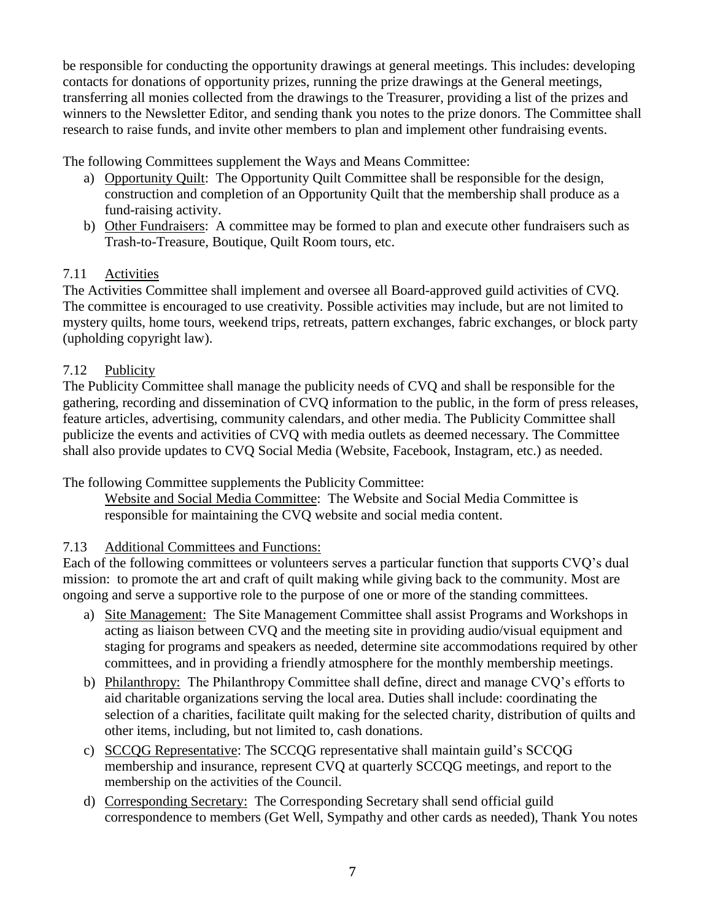be responsible for conducting the opportunity drawings at general meetings. This includes: developing contacts for donations of opportunity prizes, running the prize drawings at the General meetings, transferring all monies collected from the drawings to the Treasurer, providing a list of the prizes and winners to the Newsletter Editor, and sending thank you notes to the prize donors. The Committee shall research to raise funds, and invite other members to plan and implement other fundraising events.

The following Committees supplement the Ways and Means Committee:

- a) Opportunity Quilt: The Opportunity Quilt Committee shall be responsible for the design, construction and completion of an Opportunity Quilt that the membership shall produce as a fund-raising activity.
- b) Other Fundraisers: A committee may be formed to plan and execute other fundraisers such as Trash-to-Treasure, Boutique, Quilt Room tours, etc.

## 7.11 Activities

The Activities Committee shall implement and oversee all Board-approved guild activities of CVQ. The committee is encouraged to use creativity. Possible activities may include, but are not limited to mystery quilts, home tours, weekend trips, retreats, pattern exchanges, fabric exchanges, or block party (upholding copyright law).

## 7.12 Publicity

The Publicity Committee shall manage the publicity needs of CVQ and shall be responsible for the gathering, recording and dissemination of CVQ information to the public, in the form of press releases, feature articles, advertising, community calendars, and other media. The Publicity Committee shall publicize the events and activities of CVQ with media outlets as deemed necessary. The Committee shall also provide updates to CVQ Social Media (Website, Facebook, Instagram, etc.) as needed.

The following Committee supplements the Publicity Committee:

Website and Social Media Committee: The Website and Social Media Committee is responsible for maintaining the CVQ website and social media content.

## 7.13 Additional Committees and Functions:

Each of the following committees or volunteers serves a particular function that supports CVQ's dual mission: to promote the art and craft of quilt making while giving back to the community. Most are ongoing and serve a supportive role to the purpose of one or more of the standing committees.

- a) Site Management: The Site Management Committee shall assist Programs and Workshops in acting as liaison between CVQ and the meeting site in providing audio/visual equipment and staging for programs and speakers as needed, determine site accommodations required by other committees, and in providing a friendly atmosphere for the monthly membership meetings.
- b) Philanthropy: The Philanthropy Committee shall define, direct and manage CVQ's efforts to aid charitable organizations serving the local area. Duties shall include: coordinating the selection of a charities, facilitate quilt making for the selected charity, distribution of quilts and other items, including, but not limited to, cash donations.
- c) SCCQG Representative: The SCCQG representative shall maintain guild's SCCQG membership and insurance, represent CVQ at quarterly SCCQG meetings, and report to the membership on the activities of the Council.
- d) Corresponding Secretary: The Corresponding Secretary shall send official guild correspondence to members (Get Well, Sympathy and other cards as needed), Thank You notes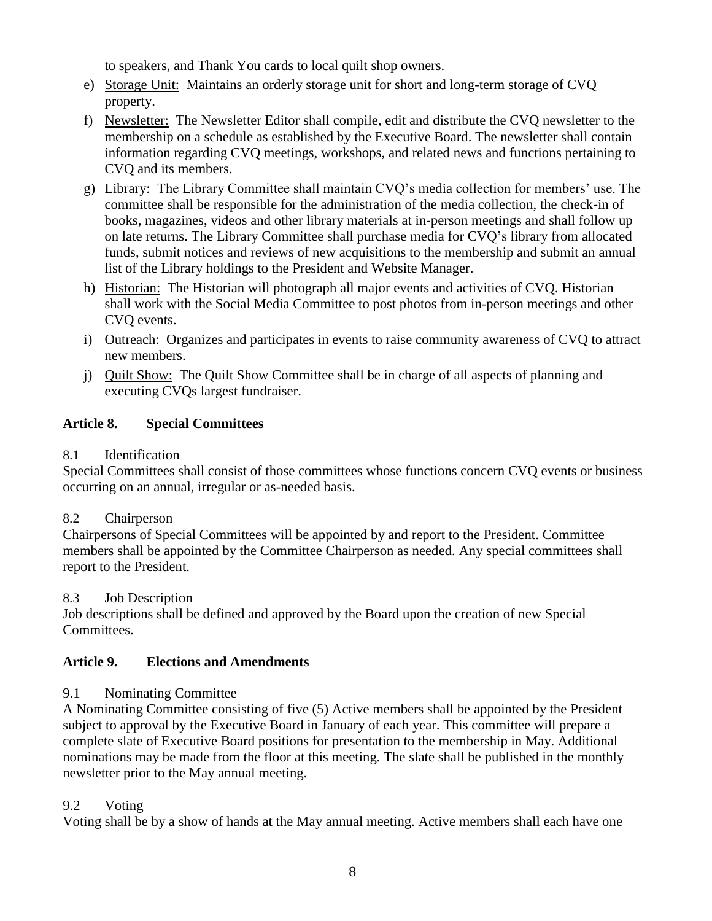to speakers, and Thank You cards to local quilt shop owners.

- e) Storage Unit: Maintains an orderly storage unit for short and long-term storage of CVQ property.
- f) Newsletter: The Newsletter Editor shall compile, edit and distribute the CVQ newsletter to the membership on a schedule as established by the Executive Board. The newsletter shall contain information regarding CVQ meetings, workshops, and related news and functions pertaining to CVQ and its members.
- g) Library: The Library Committee shall maintain CVQ's media collection for members' use. The committee shall be responsible for the administration of the media collection, the check-in of books, magazines, videos and other library materials at in-person meetings and shall follow up on late returns. The Library Committee shall purchase media for CVQ's library from allocated funds, submit notices and reviews of new acquisitions to the membership and submit an annual list of the Library holdings to the President and Website Manager.
- h) Historian: The Historian will photograph all major events and activities of CVQ. Historian shall work with the Social Media Committee to post photos from in-person meetings and other CVQ events.
- i) Outreach: Organizes and participates in events to raise community awareness of CVQ to attract new members.
- j) Quilt Show: The Quilt Show Committee shall be in charge of all aspects of planning and executing CVQs largest fundraiser.

## **Article 8. Special Committees**

## 8.1 Identification

Special Committees shall consist of those committees whose functions concern CVQ events or business occurring on an annual, irregular or as-needed basis.

## 8.2 Chairperson

Chairpersons of Special Committees will be appointed by and report to the President. Committee members shall be appointed by the Committee Chairperson as needed. Any special committees shall report to the President.

## 8.3 Job Description

Job descriptions shall be defined and approved by the Board upon the creation of new Special Committees.

## **Article 9. Elections and Amendments**

## 9.1 Nominating Committee

A Nominating Committee consisting of five (5) Active members shall be appointed by the President subject to approval by the Executive Board in January of each year. This committee will prepare a complete slate of Executive Board positions for presentation to the membership in May. Additional nominations may be made from the floor at this meeting. The slate shall be published in the monthly newsletter prior to the May annual meeting.

## 9.2 Voting

Voting shall be by a show of hands at the May annual meeting. Active members shall each have one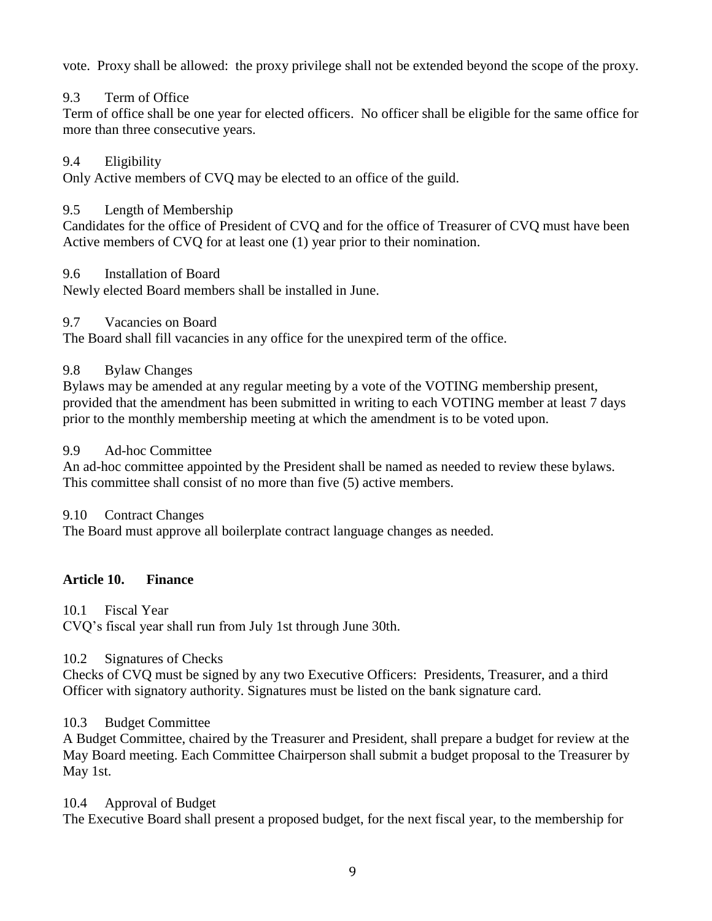vote. Proxy shall be allowed: the proxy privilege shall not be extended beyond the scope of the proxy.

## 9.3 Term of Office

Term of office shall be one year for elected officers. No officer shall be eligible for the same office for more than three consecutive years.

#### 9.4 Eligibility

Only Active members of CVQ may be elected to an office of the guild.

#### 9.5 Length of Membership

Candidates for the office of President of CVQ and for the office of Treasurer of CVQ must have been Active members of CVQ for at least one (1) year prior to their nomination.

#### 9.6 Installation of Board

Newly elected Board members shall be installed in June.

#### 9.7 Vacancies on Board

The Board shall fill vacancies in any office for the unexpired term of the office.

#### 9.8 Bylaw Changes

Bylaws may be amended at any regular meeting by a vote of the VOTING membership present, provided that the amendment has been submitted in writing to each VOTING member at least 7 days prior to the monthly membership meeting at which the amendment is to be voted upon.

#### 9.9 Ad-hoc Committee

An ad-hoc committee appointed by the President shall be named as needed to review these bylaws. This committee shall consist of no more than five (5) active members.

#### 9.10 Contract Changes

The Board must approve all boilerplate contract language changes as needed.

## **Article 10. Finance**

10.1 Fiscal Year

CVQ's fiscal year shall run from July 1st through June 30th.

## 10.2 Signatures of Checks

Checks of CVQ must be signed by any two Executive Officers: Presidents, Treasurer, and a third Officer with signatory authority. Signatures must be listed on the bank signature card.

## 10.3 Budget Committee

A Budget Committee, chaired by the Treasurer and President, shall prepare a budget for review at the May Board meeting. Each Committee Chairperson shall submit a budget proposal to the Treasurer by May 1st.

#### 10.4 Approval of Budget

The Executive Board shall present a proposed budget, for the next fiscal year, to the membership for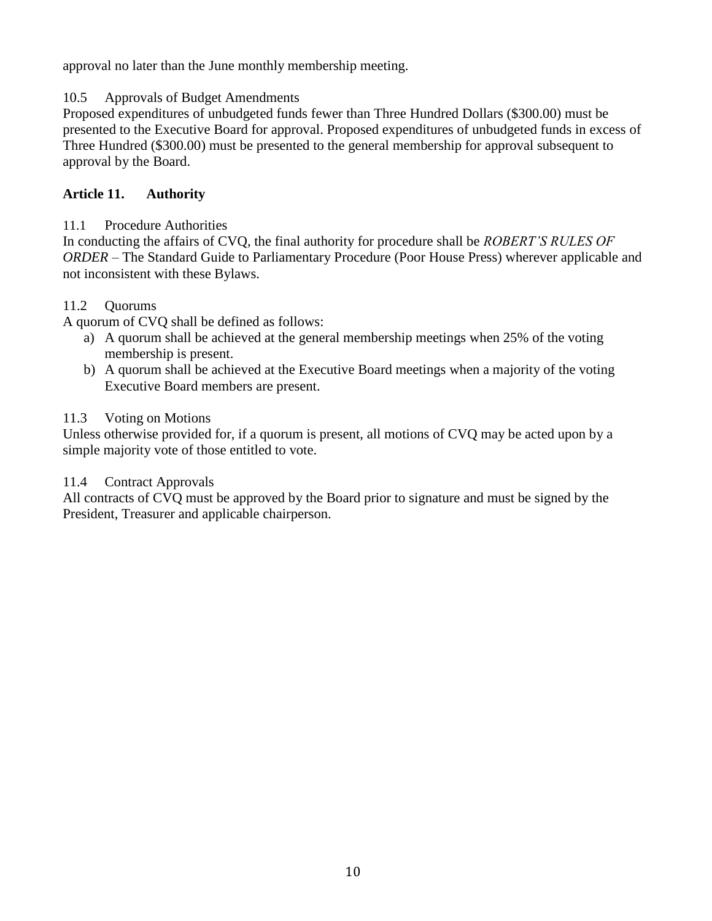approval no later than the June monthly membership meeting.

## 10.5 Approvals of Budget Amendments

Proposed expenditures of unbudgeted funds fewer than Three Hundred Dollars (\$300.00) must be presented to the Executive Board for approval. Proposed expenditures of unbudgeted funds in excess of Three Hundred (\$300.00) must be presented to the general membership for approval subsequent to approval by the Board.

## **Article 11. Authority**

## 11.1 Procedure Authorities

In conducting the affairs of CVQ, the final authority for procedure shall be *ROBERT'S RULES OF ORDER* – The Standard Guide to Parliamentary Procedure (Poor House Press) wherever applicable and not inconsistent with these Bylaws.

## 11.2 Quorums

A quorum of CVQ shall be defined as follows:

- a) A quorum shall be achieved at the general membership meetings when 25% of the voting membership is present.
- b) A quorum shall be achieved at the Executive Board meetings when a majority of the voting Executive Board members are present.

## 11.3 Voting on Motions

Unless otherwise provided for, if a quorum is present, all motions of CVQ may be acted upon by a simple majority vote of those entitled to vote.

## 11.4 Contract Approvals

All contracts of CVQ must be approved by the Board prior to signature and must be signed by the President, Treasurer and applicable chairperson.